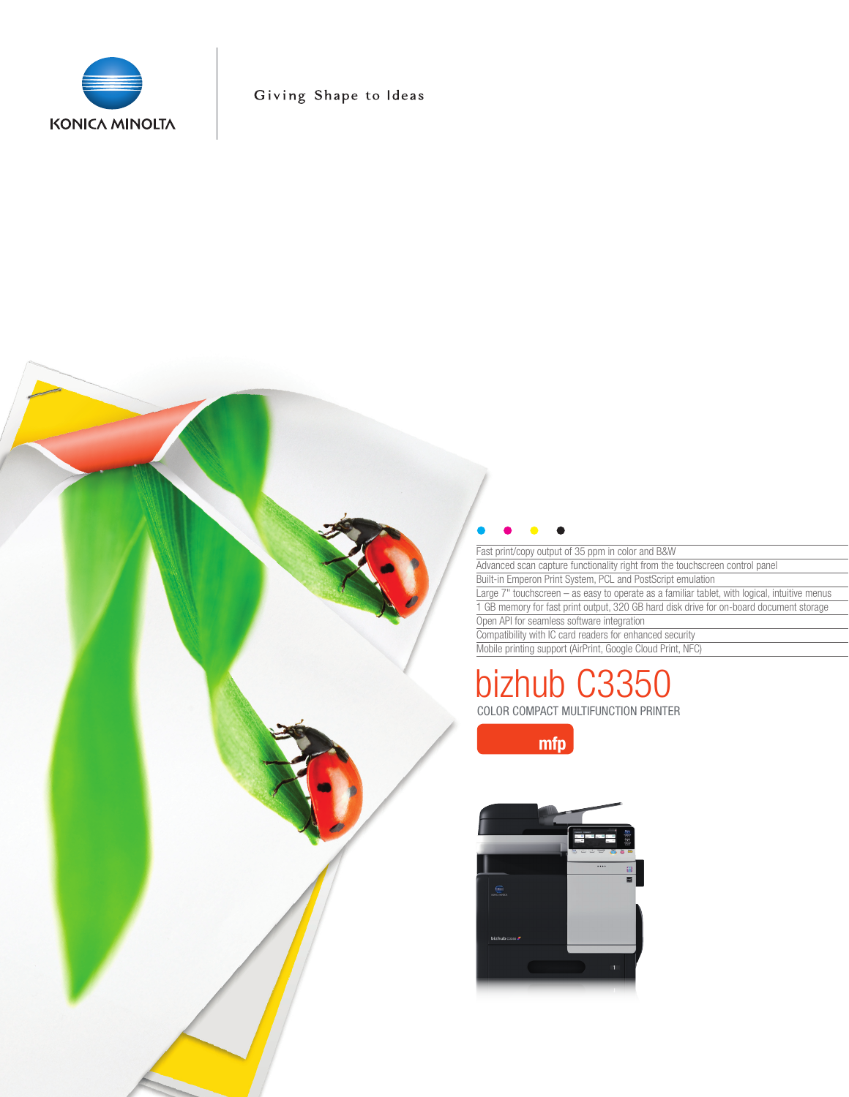

Giving Shape to Ideas



Fast print/copy output of 35 ppm in color and B&W Advanced scan capture functionality right from the touchscreen control panel Built-in Emperon Print System, PCL and PostScript emulation Large 7" touchscreen – as easy to operate as a familiar tablet, with logical, intuitive menus 1 GB memory for fast print output, 320 GB hard disk drive for on-board document storage Open API for seamless software integration Compatibility with IC card readers for enhanced security

Mobile printing support (AirPrint, Google Cloud Print, NFC)

# COLOR COMPACT MULTIFUNCTION PRINTER 6335

mfp